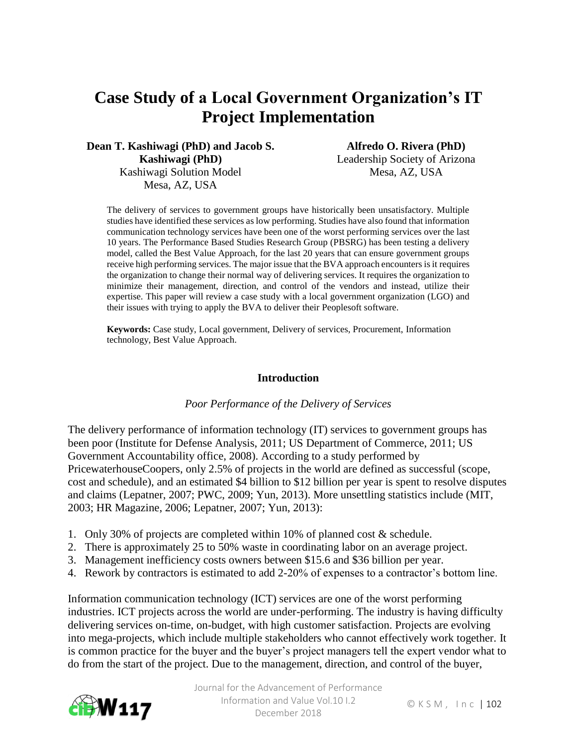# **Case Study of a Local Government Organization's IT Project Implementation**

**Dean T. Kashiwagi (PhD) and Jacob S. Kashiwagi (PhD)** Kashiwagi Solution Model Mesa, AZ, USA

**Alfredo O. Rivera (PhD)** Leadership Society of Arizona Mesa, AZ, USA

The delivery of services to government groups have historically been unsatisfactory. Multiple studies have identified these services as low performing. Studies have also found that information communication technology services have been one of the worst performing services over the last 10 years. The Performance Based Studies Research Group (PBSRG) has been testing a delivery model, called the Best Value Approach, for the last 20 years that can ensure government groups receive high performing services. The major issue that the BVA approach encounters is it requires the organization to change their normal way of delivering services. It requires the organization to minimize their management, direction, and control of the vendors and instead, utilize their expertise. This paper will review a case study with a local government organization (LGO) and their issues with trying to apply the BVA to deliver their Peoplesoft software.

**Keywords:** Case study, Local government, Delivery of services, Procurement, Information technology, Best Value Approach.

#### **Introduction**

#### *Poor Performance of the Delivery of Services*

The delivery performance of information technology (IT) services to government groups has been poor (Institute for Defense Analysis, 2011; US Department of Commerce, 2011; US Government Accountability office, 2008). According to a study performed by PricewaterhouseCoopers, only 2.5% of projects in the world are defined as successful (scope, cost and schedule), and an estimated \$4 billion to \$12 billion per year is spent to resolve disputes and claims (Lepatner, 2007; PWC, 2009; Yun, 2013). More unsettling statistics include (MIT, 2003; HR Magazine, 2006; Lepatner, 2007; Yun, 2013):

- 1. Only 30% of projects are completed within 10% of planned cost & schedule.
- 2. There is approximately 25 to 50% waste in coordinating labor on an average project.
- 3. Management inefficiency costs owners between \$15.6 and \$36 billion per year.
- 4. Rework by contractors is estimated to add 2-20% of expenses to a contractor's bottom line.

Information communication technology (ICT) services are one of the worst performing industries. ICT projects across the world are under-performing. The industry is having difficulty delivering services on-time, on-budget, with high customer satisfaction. Projects are evolving into mega-projects, which include multiple stakeholders who cannot effectively work together. It is common practice for the buyer and the buyer's project managers tell the expert vendor what to do from the start of the project. Due to the management, direction, and control of the buyer,

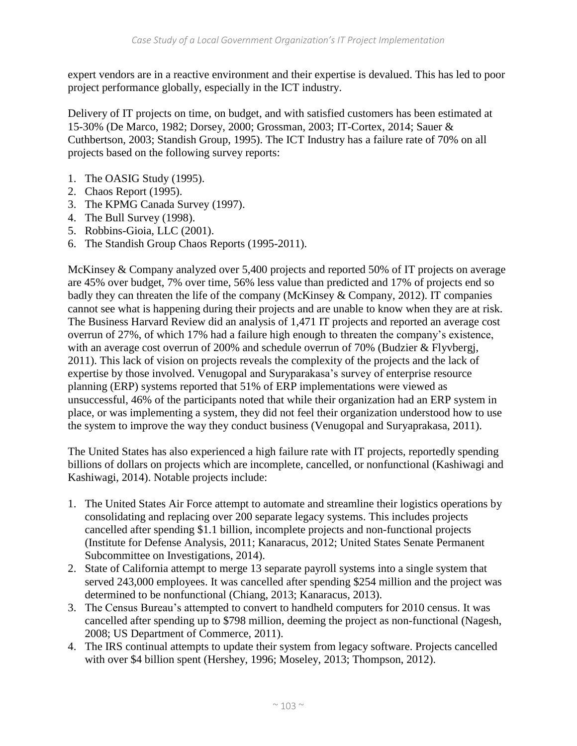expert vendors are in a reactive environment and their expertise is devalued. This has led to poor project performance globally, especially in the ICT industry.

Delivery of IT projects on time, on budget, and with satisfied customers has been estimated at 15-30% (De Marco, 1982; Dorsey, 2000; Grossman, 2003; IT-Cortex, 2014; Sauer & Cuthbertson, 2003; Standish Group, 1995). The ICT Industry has a failure rate of 70% on all projects based on the following survey reports:

- 1. The OASIG Study (1995).
- 2. Chaos Report (1995).
- 3. The KPMG Canada Survey (1997).
- 4. The Bull Survey (1998).
- 5. Robbins-Gioia, LLC (2001).
- 6. The Standish Group Chaos Reports (1995-2011).

McKinsey & Company analyzed over 5,400 projects and reported 50% of IT projects on average are 45% over budget, 7% over time, 56% less value than predicted and 17% of projects end so badly they can threaten the life of the company (McKinsey & Company, 2012). IT companies cannot see what is happening during their projects and are unable to know when they are at risk. The Business Harvard Review did an analysis of 1,471 IT projects and reported an average cost overrun of 27%, of which 17% had a failure high enough to threaten the company's existence, with an average cost overrun of 200% and schedule overrun of 70% (Budzier & Flyvbergi, 2011). This lack of vision on projects reveals the complexity of the projects and the lack of expertise by those involved. Venugopal and Suryparakasa's survey of enterprise resource planning (ERP) systems reported that 51% of ERP implementations were viewed as unsuccessful, 46% of the participants noted that while their organization had an ERP system in place, or was implementing a system, they did not feel their organization understood how to use the system to improve the way they conduct business (Venugopal and Suryaprakasa, 2011).

The United States has also experienced a high failure rate with IT projects, reportedly spending billions of dollars on projects which are incomplete, cancelled, or nonfunctional (Kashiwagi and Kashiwagi, 2014). Notable projects include:

- 1. The United States Air Force attempt to automate and streamline their logistics operations by consolidating and replacing over 200 separate legacy systems. This includes projects cancelled after spending \$1.1 billion, incomplete projects and non-functional projects (Institute for Defense Analysis, 2011; Kanaracus, 2012; United States Senate Permanent Subcommittee on Investigations, 2014).
- 2. State of California attempt to merge 13 separate payroll systems into a single system that served 243,000 employees. It was cancelled after spending \$254 million and the project was determined to be nonfunctional (Chiang, 2013; Kanaracus, 2013).
- 3. The Census Bureau's attempted to convert to handheld computers for 2010 census. It was cancelled after spending up to \$798 million, deeming the project as non-functional (Nagesh, 2008; US Department of Commerce, 2011).
- 4. The IRS continual attempts to update their system from legacy software. Projects cancelled with over \$4 billion spent (Hershey, 1996; Moseley, 2013; Thompson, 2012).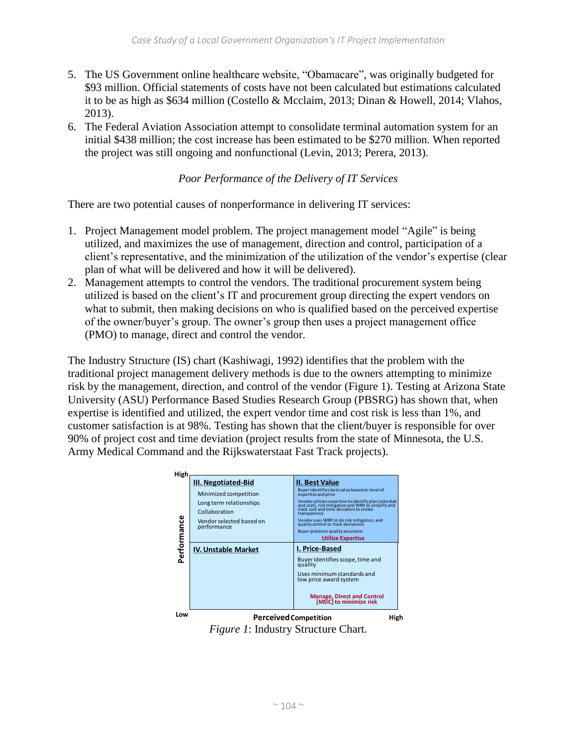- 5. The US Government online healthcare website, "Obamacare", was originally budgeted for \$93 million. Official statements of costs have not been calculated but estimations calculated it to be as high as \$634 million (Costello & Mcclaim, 2013; Dinan & Howell, 2014; Vlahos, 2013).
- 6. The Federal Aviation Association attempt to consolidate terminal automation system for an initial \$438 million; the cost increase has been estimated to be \$270 million. When reported the project was still ongoing and nonfunctional (Levin, 2013; Perera, 2013).

## *Poor Performance of the Delivery of IT Services*

There are two potential causes of nonperformance in delivering IT services:

- 1. Project Management model problem. The project management model "Agile" is being utilized, and maximizes the use of management, direction and control, participation of a client's representative, and the minimization of the utilization of the vendor's expertise (clear plan of what will be delivered and how it will be delivered).
- 2. Management attempts to control the vendors. The traditional procurement system being utilized is based on the client's IT and procurement group directing the expert vendors on what to submit, then making decisions on who is qualified based on the perceived expertise of the owner/buyer's group. The owner's group then uses a project management office (PMO) to manage, direct and control the vendor.

The Industry Structure (IS) chart (Kashiwagi, 1992) identifies that the problem with the traditional project management delivery methods is due to the owners attempting to minimize risk by the management, direction, and control of the vendor (Figure 1). Testing at Arizona State University (ASU) Performance Based Studies Research Group (PBSRG) has shown that, when expertise is identified and utilized, the expert vendor time and cost risk is less than 1%, and customer satisfaction is at 98%. Testing has shown that the client/buyer is responsible for over 90% of project cost and time deviation (project results from the state of Minnesota, the U.S. Army Medical Command and the Rijkswaterstaat Fast Track projects).



*Figure 1*: Industry Structure Chart.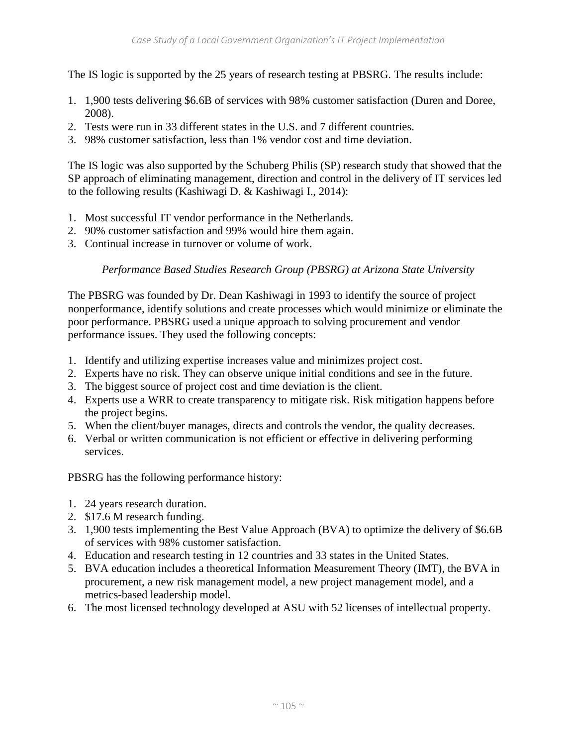The IS logic is supported by the 25 years of research testing at PBSRG. The results include:

- 1. 1,900 tests delivering \$6.6B of services with 98% customer satisfaction (Duren and Doree, 2008).
- 2. Tests were run in 33 different states in the U.S. and 7 different countries.
- 3. 98% customer satisfaction, less than 1% vendor cost and time deviation.

The IS logic was also supported by the Schuberg Philis (SP) research study that showed that the SP approach of eliminating management, direction and control in the delivery of IT services led to the following results (Kashiwagi D. & Kashiwagi I., 2014):

- 1. Most successful IT vendor performance in the Netherlands.
- 2. 90% customer satisfaction and 99% would hire them again.
- 3. Continual increase in turnover or volume of work.

## *Performance Based Studies Research Group (PBSRG) at Arizona State University*

The PBSRG was founded by Dr. Dean Kashiwagi in 1993 to identify the source of project nonperformance, identify solutions and create processes which would minimize or eliminate the poor performance. PBSRG used a unique approach to solving procurement and vendor performance issues. They used the following concepts:

- 1. Identify and utilizing expertise increases value and minimizes project cost.
- 2. Experts have no risk. They can observe unique initial conditions and see in the future.
- 3. The biggest source of project cost and time deviation is the client.
- 4. Experts use a WRR to create transparency to mitigate risk. Risk mitigation happens before the project begins.
- 5. When the client/buyer manages, directs and controls the vendor, the quality decreases.
- 6. Verbal or written communication is not efficient or effective in delivering performing services.

PBSRG has the following performance history:

- 1. 24 years research duration.
- 2. \$17.6 M research funding.
- 3. 1,900 tests implementing the Best Value Approach (BVA) to optimize the delivery of \$6.6B of services with 98% customer satisfaction.
- 4. Education and research testing in 12 countries and 33 states in the United States.
- 5. BVA education includes a theoretical Information Measurement Theory (IMT), the BVA in procurement, a new risk management model, a new project management model, and a metrics-based leadership model.
- 6. The most licensed technology developed at ASU with 52 licenses of intellectual property.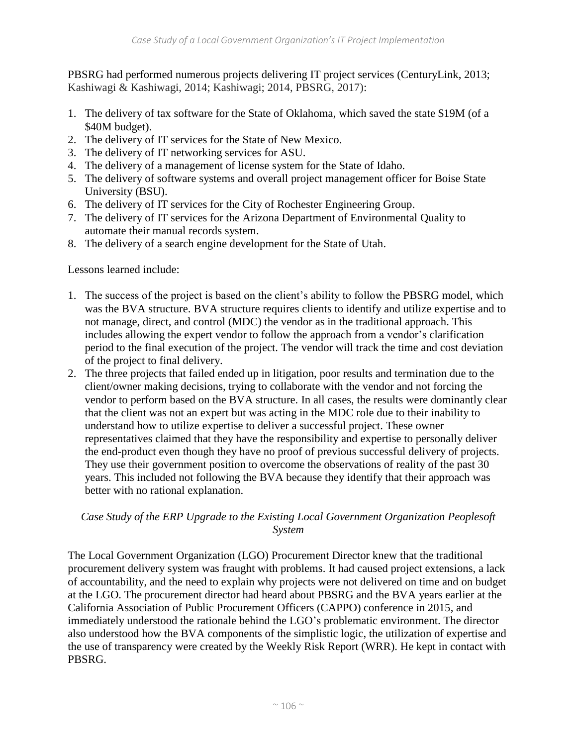PBSRG had performed numerous projects delivering IT project services (CenturyLink, 2013; Kashiwagi & Kashiwagi, 2014; Kashiwagi; 2014, PBSRG, 2017):

- 1. The delivery of tax software for the State of Oklahoma, which saved the state \$19M (of a \$40M budget).
- 2. The delivery of IT services for the State of New Mexico.
- 3. The delivery of IT networking services for ASU.
- 4. The delivery of a management of license system for the State of Idaho.
- 5. The delivery of software systems and overall project management officer for Boise State University (BSU).
- 6. The delivery of IT services for the City of Rochester Engineering Group.
- 7. The delivery of IT services for the Arizona Department of Environmental Quality to automate their manual records system.
- 8. The delivery of a search engine development for the State of Utah.

Lessons learned include:

- 1. The success of the project is based on the client's ability to follow the PBSRG model, which was the BVA structure. BVA structure requires clients to identify and utilize expertise and to not manage, direct, and control (MDC) the vendor as in the traditional approach. This includes allowing the expert vendor to follow the approach from a vendor's clarification period to the final execution of the project. The vendor will track the time and cost deviation of the project to final delivery.
- 2. The three projects that failed ended up in litigation, poor results and termination due to the client/owner making decisions, trying to collaborate with the vendor and not forcing the vendor to perform based on the BVA structure. In all cases, the results were dominantly clear that the client was not an expert but was acting in the MDC role due to their inability to understand how to utilize expertise to deliver a successful project. These owner representatives claimed that they have the responsibility and expertise to personally deliver the end-product even though they have no proof of previous successful delivery of projects. They use their government position to overcome the observations of reality of the past 30 years. This included not following the BVA because they identify that their approach was better with no rational explanation.

## *Case Study of the ERP Upgrade to the Existing Local Government Organization Peoplesoft System*

The Local Government Organization (LGO) Procurement Director knew that the traditional procurement delivery system was fraught with problems. It had caused project extensions, a lack of accountability, and the need to explain why projects were not delivered on time and on budget at the LGO. The procurement director had heard about PBSRG and the BVA years earlier at the California Association of Public Procurement Officers (CAPPO) conference in 2015, and immediately understood the rationale behind the LGO's problematic environment. The director also understood how the BVA components of the simplistic logic, the utilization of expertise and the use of transparency were created by the Weekly Risk Report (WRR). He kept in contact with PBSRG.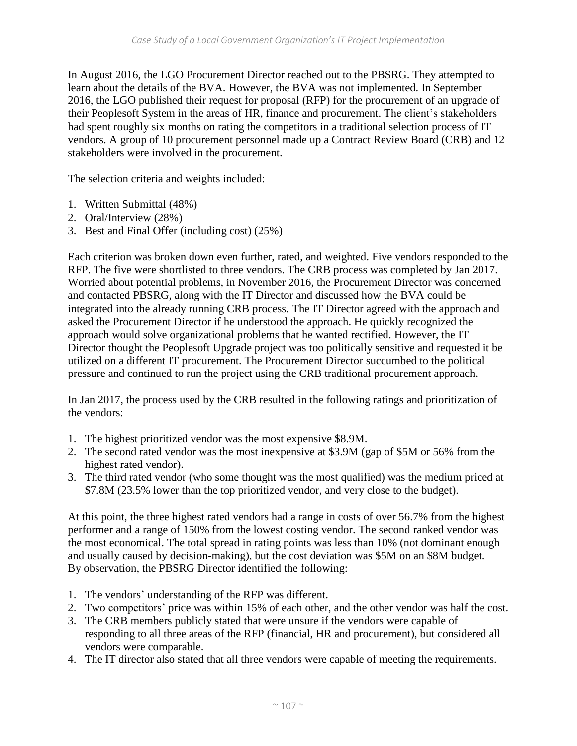In August 2016, the LGO Procurement Director reached out to the PBSRG. They attempted to learn about the details of the BVA. However, the BVA was not implemented. In September 2016, the LGO published their request for proposal (RFP) for the procurement of an upgrade of their Peoplesoft System in the areas of HR, finance and procurement. The client's stakeholders had spent roughly six months on rating the competitors in a traditional selection process of IT vendors. A group of 10 procurement personnel made up a Contract Review Board (CRB) and 12 stakeholders were involved in the procurement.

The selection criteria and weights included:

- 1. Written Submittal (48%)
- 2. Oral/Interview (28%)
- 3. Best and Final Offer (including cost) (25%)

Each criterion was broken down even further, rated, and weighted. Five vendors responded to the RFP. The five were shortlisted to three vendors. The CRB process was completed by Jan 2017. Worried about potential problems, in November 2016, the Procurement Director was concerned and contacted PBSRG, along with the IT Director and discussed how the BVA could be integrated into the already running CRB process. The IT Director agreed with the approach and asked the Procurement Director if he understood the approach. He quickly recognized the approach would solve organizational problems that he wanted rectified. However, the IT Director thought the Peoplesoft Upgrade project was too politically sensitive and requested it be utilized on a different IT procurement. The Procurement Director succumbed to the political pressure and continued to run the project using the CRB traditional procurement approach.

In Jan 2017, the process used by the CRB resulted in the following ratings and prioritization of the vendors:

- 1. The highest prioritized vendor was the most expensive \$8.9M.
- 2. The second rated vendor was the most inexpensive at \$3.9M (gap of \$5M or 56% from the highest rated vendor).
- 3. The third rated vendor (who some thought was the most qualified) was the medium priced at \$7.8M (23.5% lower than the top prioritized vendor, and very close to the budget).

At this point, the three highest rated vendors had a range in costs of over 56.7% from the highest performer and a range of 150% from the lowest costing vendor. The second ranked vendor was the most economical. The total spread in rating points was less than 10% (not dominant enough and usually caused by decision-making), but the cost deviation was \$5M on an \$8M budget. By observation, the PBSRG Director identified the following:

- 1. The vendors' understanding of the RFP was different.
- 2. Two competitors' price was within 15% of each other, and the other vendor was half the cost.
- 3. The CRB members publicly stated that were unsure if the vendors were capable of responding to all three areas of the RFP (financial, HR and procurement), but considered all vendors were comparable.
- 4. The IT director also stated that all three vendors were capable of meeting the requirements.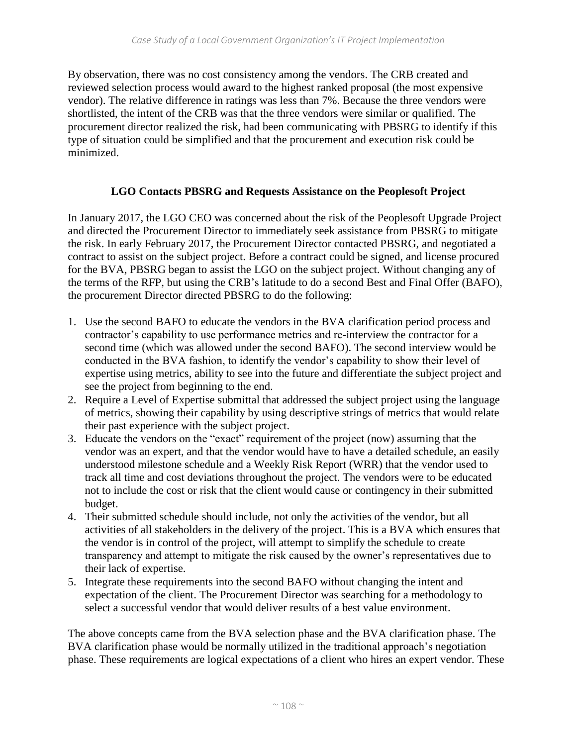By observation, there was no cost consistency among the vendors. The CRB created and reviewed selection process would award to the highest ranked proposal (the most expensive vendor). The relative difference in ratings was less than 7%. Because the three vendors were shortlisted, the intent of the CRB was that the three vendors were similar or qualified. The procurement director realized the risk, had been communicating with PBSRG to identify if this type of situation could be simplified and that the procurement and execution risk could be minimized.

### **LGO Contacts PBSRG and Requests Assistance on the Peoplesoft Project**

In January 2017, the LGO CEO was concerned about the risk of the Peoplesoft Upgrade Project and directed the Procurement Director to immediately seek assistance from PBSRG to mitigate the risk. In early February 2017, the Procurement Director contacted PBSRG, and negotiated a contract to assist on the subject project. Before a contract could be signed, and license procured for the BVA, PBSRG began to assist the LGO on the subject project. Without changing any of the terms of the RFP, but using the CRB's latitude to do a second Best and Final Offer (BAFO), the procurement Director directed PBSRG to do the following:

- 1. Use the second BAFO to educate the vendors in the BVA clarification period process and contractor's capability to use performance metrics and re-interview the contractor for a second time (which was allowed under the second BAFO). The second interview would be conducted in the BVA fashion, to identify the vendor's capability to show their level of expertise using metrics, ability to see into the future and differentiate the subject project and see the project from beginning to the end.
- 2. Require a Level of Expertise submittal that addressed the subject project using the language of metrics, showing their capability by using descriptive strings of metrics that would relate their past experience with the subject project.
- 3. Educate the vendors on the "exact" requirement of the project (now) assuming that the vendor was an expert, and that the vendor would have to have a detailed schedule, an easily understood milestone schedule and a Weekly Risk Report (WRR) that the vendor used to track all time and cost deviations throughout the project. The vendors were to be educated not to include the cost or risk that the client would cause or contingency in their submitted budget.
- 4. Their submitted schedule should include, not only the activities of the vendor, but all activities of all stakeholders in the delivery of the project. This is a BVA which ensures that the vendor is in control of the project, will attempt to simplify the schedule to create transparency and attempt to mitigate the risk caused by the owner's representatives due to their lack of expertise.
- 5. Integrate these requirements into the second BAFO without changing the intent and expectation of the client. The Procurement Director was searching for a methodology to select a successful vendor that would deliver results of a best value environment.

The above concepts came from the BVA selection phase and the BVA clarification phase. The BVA clarification phase would be normally utilized in the traditional approach's negotiation phase. These requirements are logical expectations of a client who hires an expert vendor. These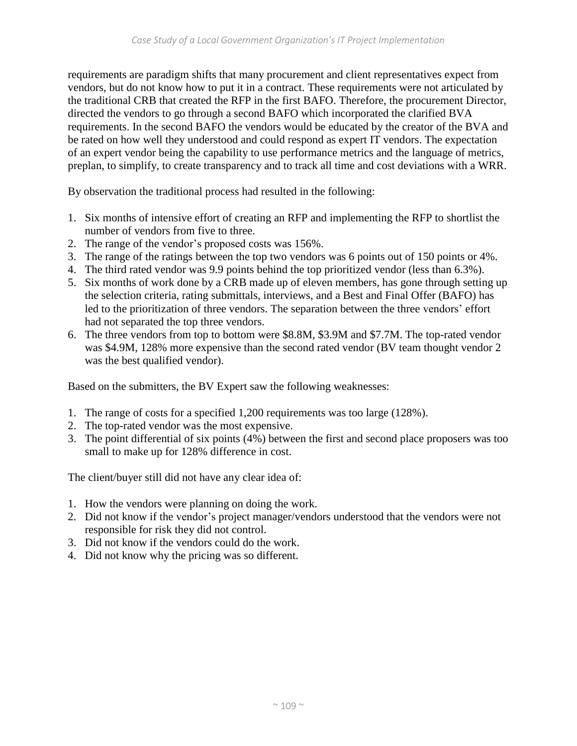requirements are paradigm shifts that many procurement and client representatives expect from vendors, but do not know how to put it in a contract. These requirements were not articulated by the traditional CRB that created the RFP in the first BAFO. Therefore, the procurement Director, directed the vendors to go through a second BAFO which incorporated the clarified BVA requirements. In the second BAFO the vendors would be educated by the creator of the BVA and be rated on how well they understood and could respond as expert IT vendors. The expectation of an expert vendor being the capability to use performance metrics and the language of metrics, preplan, to simplify, to create transparency and to track all time and cost deviations with a WRR.

By observation the traditional process had resulted in the following:

- 1. Six months of intensive effort of creating an RFP and implementing the RFP to shortlist the number of vendors from five to three.
- 2. The range of the vendor's proposed costs was 156%.
- 3. The range of the ratings between the top two vendors was 6 points out of 150 points or 4%.
- 4. The third rated vendor was 9.9 points behind the top prioritized vendor (less than 6.3%).
- 5. Six months of work done by a CRB made up of eleven members, has gone through setting up the selection criteria, rating submittals, interviews, and a Best and Final Offer (BAFO) has led to the prioritization of three vendors. The separation between the three vendors' effort had not separated the top three vendors.
- 6. The three vendors from top to bottom were \$8.8M, \$3.9M and \$7.7M. The top-rated vendor was \$4.9M, 128% more expensive than the second rated vendor (BV team thought vendor 2 was the best qualified vendor).

Based on the submitters, the BV Expert saw the following weaknesses:

- 1. The range of costs for a specified 1,200 requirements was too large (128%).
- 2. The top-rated vendor was the most expensive.
- 3. The point differential of six points (4%) between the first and second place proposers was too small to make up for 128% difference in cost.

The client/buyer still did not have any clear idea of:

- 1. How the vendors were planning on doing the work.
- 2. Did not know if the vendor's project manager/vendors understood that the vendors were not responsible for risk they did not control.
- 3. Did not know if the vendors could do the work.
- 4. Did not know why the pricing was so different.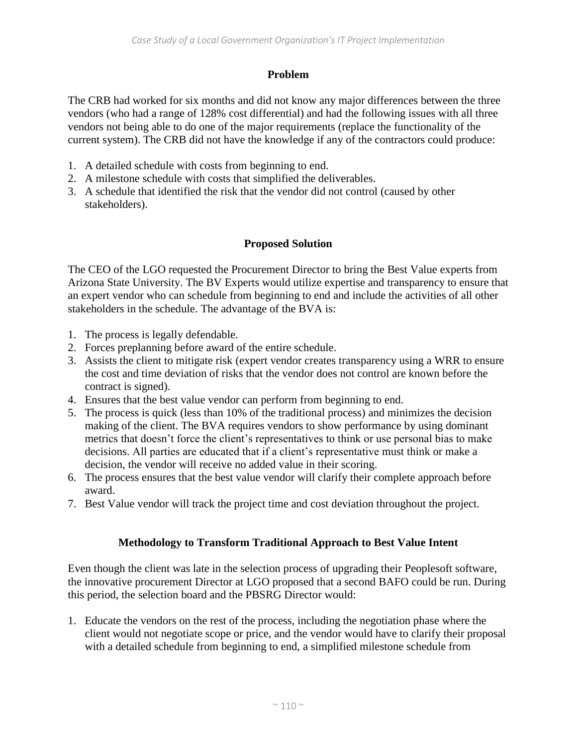## **Problem**

The CRB had worked for six months and did not know any major differences between the three vendors (who had a range of 128% cost differential) and had the following issues with all three vendors not being able to do one of the major requirements (replace the functionality of the current system). The CRB did not have the knowledge if any of the contractors could produce:

- 1. A detailed schedule with costs from beginning to end.
- 2. A milestone schedule with costs that simplified the deliverables.
- 3. A schedule that identified the risk that the vendor did not control (caused by other stakeholders).

# **Proposed Solution**

The CEO of the LGO requested the Procurement Director to bring the Best Value experts from Arizona State University. The BV Experts would utilize expertise and transparency to ensure that an expert vendor who can schedule from beginning to end and include the activities of all other stakeholders in the schedule. The advantage of the BVA is:

- 1. The process is legally defendable.
- 2. Forces preplanning before award of the entire schedule.
- 3. Assists the client to mitigate risk (expert vendor creates transparency using a WRR to ensure the cost and time deviation of risks that the vendor does not control are known before the contract is signed).
- 4. Ensures that the best value vendor can perform from beginning to end.
- 5. The process is quick (less than 10% of the traditional process) and minimizes the decision making of the client. The BVA requires vendors to show performance by using dominant metrics that doesn't force the client's representatives to think or use personal bias to make decisions. All parties are educated that if a client's representative must think or make a decision, the vendor will receive no added value in their scoring.
- 6. The process ensures that the best value vendor will clarify their complete approach before award.
- 7. Best Value vendor will track the project time and cost deviation throughout the project.

# **Methodology to Transform Traditional Approach to Best Value Intent**

Even though the client was late in the selection process of upgrading their Peoplesoft software, the innovative procurement Director at LGO proposed that a second BAFO could be run. During this period, the selection board and the PBSRG Director would:

1. Educate the vendors on the rest of the process, including the negotiation phase where the client would not negotiate scope or price, and the vendor would have to clarify their proposal with a detailed schedule from beginning to end, a simplified milestone schedule from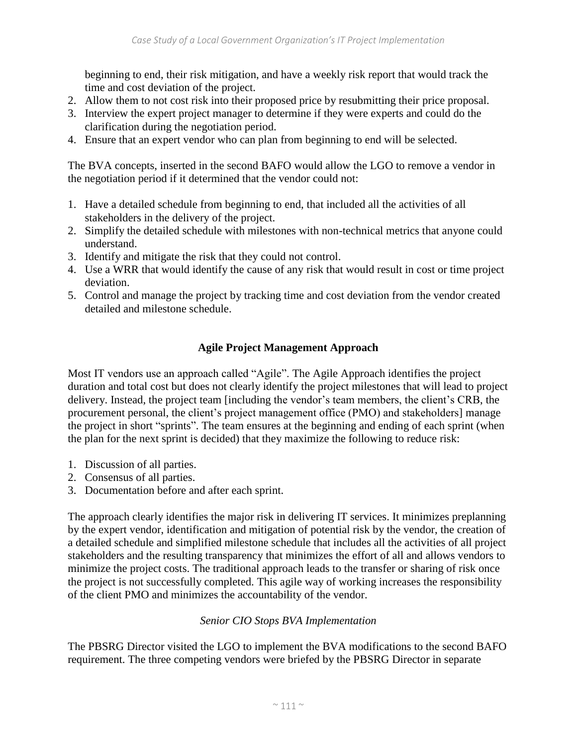beginning to end, their risk mitigation, and have a weekly risk report that would track the time and cost deviation of the project.

- 2. Allow them to not cost risk into their proposed price by resubmitting their price proposal.
- 3. Interview the expert project manager to determine if they were experts and could do the clarification during the negotiation period.
- 4. Ensure that an expert vendor who can plan from beginning to end will be selected.

The BVA concepts, inserted in the second BAFO would allow the LGO to remove a vendor in the negotiation period if it determined that the vendor could not:

- 1. Have a detailed schedule from beginning to end, that included all the activities of all stakeholders in the delivery of the project.
- 2. Simplify the detailed schedule with milestones with non-technical metrics that anyone could understand.
- 3. Identify and mitigate the risk that they could not control.
- 4. Use a WRR that would identify the cause of any risk that would result in cost or time project deviation.
- 5. Control and manage the project by tracking time and cost deviation from the vendor created detailed and milestone schedule.

# **Agile Project Management Approach**

Most IT vendors use an approach called "Agile". The Agile Approach identifies the project duration and total cost but does not clearly identify the project milestones that will lead to project delivery. Instead, the project team [including the vendor's team members, the client's CRB, the procurement personal, the client's project management office (PMO) and stakeholders] manage the project in short "sprints". The team ensures at the beginning and ending of each sprint (when the plan for the next sprint is decided) that they maximize the following to reduce risk:

- 1. Discussion of all parties.
- 2. Consensus of all parties.
- 3. Documentation before and after each sprint.

The approach clearly identifies the major risk in delivering IT services. It minimizes preplanning by the expert vendor, identification and mitigation of potential risk by the vendor, the creation of a detailed schedule and simplified milestone schedule that includes all the activities of all project stakeholders and the resulting transparency that minimizes the effort of all and allows vendors to minimize the project costs. The traditional approach leads to the transfer or sharing of risk once the project is not successfully completed. This agile way of working increases the responsibility of the client PMO and minimizes the accountability of the vendor.

# *Senior CIO Stops BVA Implementation*

The PBSRG Director visited the LGO to implement the BVA modifications to the second BAFO requirement. The three competing vendors were briefed by the PBSRG Director in separate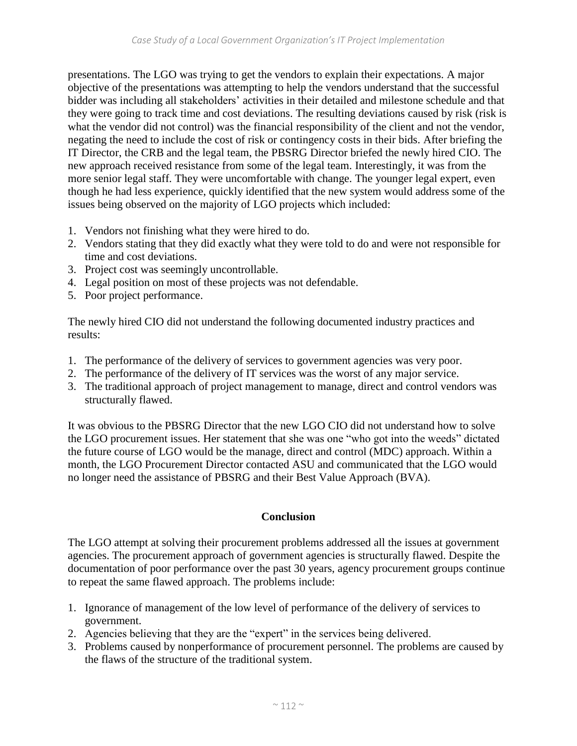presentations. The LGO was trying to get the vendors to explain their expectations. A major objective of the presentations was attempting to help the vendors understand that the successful bidder was including all stakeholders' activities in their detailed and milestone schedule and that they were going to track time and cost deviations. The resulting deviations caused by risk (risk is what the vendor did not control) was the financial responsibility of the client and not the vendor, negating the need to include the cost of risk or contingency costs in their bids. After briefing the IT Director, the CRB and the legal team, the PBSRG Director briefed the newly hired CIO. The new approach received resistance from some of the legal team. Interestingly, it was from the more senior legal staff. They were uncomfortable with change. The younger legal expert, even though he had less experience, quickly identified that the new system would address some of the issues being observed on the majority of LGO projects which included:

- 1. Vendors not finishing what they were hired to do.
- 2. Vendors stating that they did exactly what they were told to do and were not responsible for time and cost deviations.
- 3. Project cost was seemingly uncontrollable.
- 4. Legal position on most of these projects was not defendable.
- 5. Poor project performance.

The newly hired CIO did not understand the following documented industry practices and results:

- 1. The performance of the delivery of services to government agencies was very poor.
- 2. The performance of the delivery of IT services was the worst of any major service.
- 3. The traditional approach of project management to manage, direct and control vendors was structurally flawed.

It was obvious to the PBSRG Director that the new LGO CIO did not understand how to solve the LGO procurement issues. Her statement that she was one "who got into the weeds" dictated the future course of LGO would be the manage, direct and control (MDC) approach. Within a month, the LGO Procurement Director contacted ASU and communicated that the LGO would no longer need the assistance of PBSRG and their Best Value Approach (BVA).

#### **Conclusion**

The LGO attempt at solving their procurement problems addressed all the issues at government agencies. The procurement approach of government agencies is structurally flawed. Despite the documentation of poor performance over the past 30 years, agency procurement groups continue to repeat the same flawed approach. The problems include:

- 1. Ignorance of management of the low level of performance of the delivery of services to government.
- 2. Agencies believing that they are the "expert" in the services being delivered.
- 3. Problems caused by nonperformance of procurement personnel. The problems are caused by the flaws of the structure of the traditional system.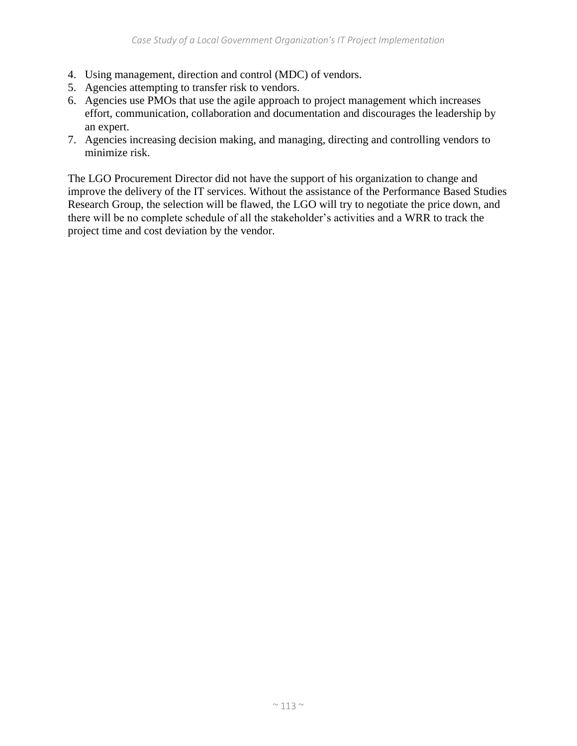- 4. Using management, direction and control (MDC) of vendors.
- 5. Agencies attempting to transfer risk to vendors.
- 6. Agencies use PMOs that use the agile approach to project management which increases effort, communication, collaboration and documentation and discourages the leadership by an expert.
- 7. Agencies increasing decision making, and managing, directing and controlling vendors to minimize risk.

The LGO Procurement Director did not have the support of his organization to change and improve the delivery of the IT services. Without the assistance of the Performance Based Studies Research Group, the selection will be flawed, the LGO will try to negotiate the price down, and there will be no complete schedule of all the stakeholder's activities and a WRR to track the project time and cost deviation by the vendor.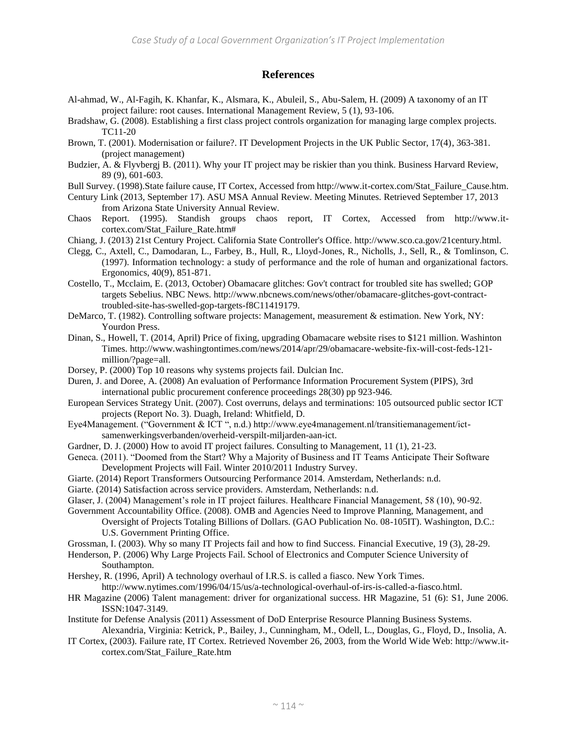#### **References**

- Al-ahmad, W., Al-Fagih, K. Khanfar, K., Alsmara, K., Abuleil, S., Abu-Salem, H. (2009) A taxonomy of an IT project failure: root causes. International Management Review, 5 (1), 93-106.
- Bradshaw, G. (2008). Establishing a first class project controls organization for managing large complex projects. TC11-20
- Brown, T. (2001). Modernisation or failure?. IT Development Projects in the UK Public Sector, 17(4), 363-381. (project management)
- Budzier, A. & Flyvbergj B. (2011). Why your IT project may be riskier than you think. Business Harvard Review, 89 (9), 601-603.
- Bull Survey. (1998).State failure cause, IT Cortex, Accessed from http://www.it-cortex.com/Stat\_Failure\_Cause.htm.
- Century Link (2013, September 17). ASU MSA Annual Review. Meeting Minutes. Retrieved September 17, 2013 from Arizona State University Annual Review.
- Chaos Report. (1995). Standish groups chaos report, IT Cortex, Accessed from http://www.itcortex.com/Stat\_Failure\_Rate.htm#
- Chiang, J. (2013) 21st Century Project. California State Controller's Office. http://www.sco.ca.gov/21century.html.
- Clegg, C., Axtell, C., Damodaran, L., Farbey, B., Hull, R., Lloyd-Jones, R., Nicholls, J., Sell, R., & Tomlinson, C. (1997). Information technology: a study of performance and the role of human and organizational factors. Ergonomics, 40(9), 851-871.
- Costello, T., Mcclaim, E. (2013, October) Obamacare glitches: Gov't contract for troubled site has swelled; GOP targets Sebelius. NBC News. http://www.nbcnews.com/news/other/obamacare-glitches-govt-contracttroubled-site-has-swelled-gop-targets-f8C11419179.
- DeMarco, T. (1982). Controlling software projects: Management, measurement & estimation. New York, NY: Yourdon Press.
- Dinan, S., Howell, T. (2014, April) Price of fixing, upgrading Obamacare website rises to \$121 million. Washinton Times. http://www.washingtontimes.com/news/2014/apr/29/obamacare-website-fix-will-cost-feds-121 million/?page=all.
- Dorsey, P. (2000) Top 10 reasons why systems projects fail. Dulcian Inc.
- Duren, J. and Doree, A. (2008) An evaluation of Performance Information Procurement System (PIPS), 3rd international public procurement conference proceedings 28(30) pp 923-946.
- European Services Strategy Unit. (2007). Cost overruns, delays and terminations: 105 outsourced public sector ICT projects (Report No. 3). Duagh, Ireland: Whitfield, D.
- Eye4Management. ("Government & ICT ", n.d.) http://www.eye4management.nl/transitiemanagement/ictsamenwerkingsverbanden/overheid-verspilt-miljarden-aan-ict.
- Gardner, D. J. (2000) How to avoid IT project failures. Consulting to Management, 11 (1), 21-23.
- Geneca. (2011). "Doomed from the Start? Why a Majority of Business and IT Teams Anticipate Their Software Development Projects will Fail. Winter 2010/2011 Industry Survey.
- Giarte. (2014) Report Transformers Outsourcing Performance 2014. Amsterdam, Netherlands: n.d.
- Giarte. (2014) Satisfaction across service providers. Amsterdam, Netherlands: n.d.
- Glaser, J. (2004) Management's role in IT project failures. Healthcare Financial Management, 58 (10), 90-92.
- Government Accountability Office. (2008). OMB and Agencies Need to Improve Planning, Management, and Oversight of Projects Totaling Billions of Dollars. (GAO Publication No. 08-105IT). Washington, D.C.: U.S. Government Printing Office.
- Grossman, I. (2003). Why so many IT Projects fail and how to find Success. Financial Executive, 19 (3), 28-29.
- Henderson, P. (2006) Why Large Projects Fail. School of Electronics and Computer Science University of Southampton.
- Hershey, R. (1996, April) A technology overhaul of I.R.S. is called a fiasco. New York Times.
	- http://www.nytimes.com/1996/04/15/us/a-technological-overhaul-of-irs-is-called-a-fiasco.html.
- HR Magazine (2006) Talent management: driver for organizational success. HR Magazine, 51 (6): S1, June 2006. ISSN:1047-3149.
- Institute for Defense Analysis (2011) Assessment of DoD Enterprise Resource Planning Business Systems. Alexandria, Virginia: Ketrick, P., Bailey, J., Cunningham, M., Odell, L., Douglas, G., Floyd, D., Insolia, A.
- IT Cortex, (2003). Failure rate, IT Cortex. Retrieved November 26, 2003, from the World Wide Web: http://www.itcortex.com/Stat\_Failure\_Rate.htm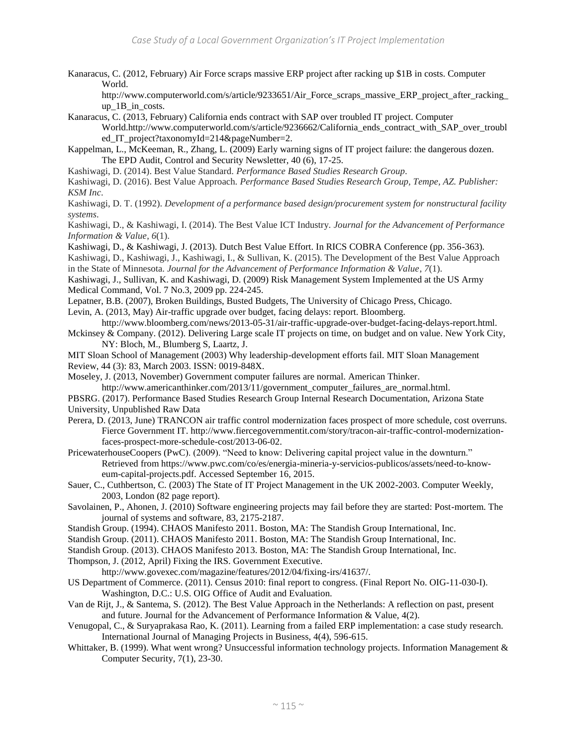Kanaracus, C. (2012, February) Air Force scraps massive ERP project after racking up \$1B in costs. Computer World.

http://www.computerworld.com/s/article/9233651/Air\_Force\_scraps\_massive\_ERP\_project\_after\_racking up 1B in costs.

- Kanaracus, C. (2013, February) California ends contract with SAP over troubled IT project. Computer World.http://www.computerworld.com/s/article/9236662/California\_ends\_contract\_with\_SAP\_over\_troubl ed\_IT\_project?taxonomyId=214&pageNumber=2.
- Kappelman, L., McKeeman, R., Zhang, L. (2009) Early warning signs of IT project failure: the dangerous dozen. The EPD Audit, Control and Security Newsletter, 40 (6), 17-25.

Kashiwagi, D. (2014). Best Value Standard. *Performance Based Studies Research Group*.

Kashiwagi, D. (2016). Best Value Approach. *Performance Based Studies Research Group, Tempe, AZ. Publisher: KSM Inc*.

Kashiwagi, D. T. (1992). *Development of a performance based design/procurement system for nonstructural facility systems*.

Kashiwagi, D., & Kashiwagi, I. (2014). The Best Value ICT Industry. *Journal for the Advancement of Performance Information & Value*, *6*(1).

Kashiwagi, D., & Kashiwagi, J. (2013). Dutch Best Value Effort. In RICS COBRA Conference (pp. 356-363).

Kashiwagi, D., Kashiwagi, J., Kashiwagi, I., & Sullivan, K. (2015). The Development of the Best Value Approach in the State of Minnesota. *Journal for the Advancement of Performance Information & Value*, *7*(1).

Kashiwagi, J., Sullivan, K. and Kashiwagi, D. (2009) Risk Management System Implemented at the US Army Medical Command, Vol. 7 No.3, 2009 pp. 224-245.

Lepatner, B.B. (2007), Broken Buildings, Busted Budgets, The University of Chicago Press, Chicago.

Levin, A. (2013, May) Air-traffic upgrade over budget, facing delays: report. Bloomberg.

http://www.bloomberg.com/news/2013-05-31/air-traffic-upgrade-over-budget-facing-delays-report.html. Mckinsey & Company. (2012). Delivering Large scale IT projects on time, on budget and on value. New York City,

NY: Bloch, M., Blumberg S, Laartz, J.

MIT Sloan School of Management (2003) Why leadership-development efforts fail. MIT Sloan Management Review, 44 (3): 83, March 2003. ISSN: 0019-848X.

Moseley, J. (2013, November) Government computer failures are normal. American Thinker. http://www.americanthinker.com/2013/11/government\_computer\_failures\_are\_normal.html.

PBSRG. (2017). Performance Based Studies Research Group Internal Research Documentation, Arizona State University, Unpublished Raw Data

Perera, D. (2013, June) TRANCON air traffic control modernization faces prospect of more schedule, cost overruns. Fierce Government IT. http://www.fiercegovernmentit.com/story/tracon-air-traffic-control-modernizationfaces-prospect-more-schedule-cost/2013-06-02.

PricewaterhouseCoopers (PwC). (2009). "Need to know: Delivering capital project value in the downturn." Retrieved from https://www.pwc.com/co/es/energia-mineria-y-servicios-publicos/assets/need-to-knoweum-capital-projects.pdf. Accessed September 16, 2015.

Sauer, C., Cuthbertson, C. (2003) The State of IT Project Management in the UK 2002-2003. Computer Weekly, 2003, London (82 page report).

Savolainen, P., Ahonen, J. (2010) Software engineering projects may fail before they are started: Post-mortem. The journal of systems and software, 83, 2175-2187.

Standish Group. (1994). CHAOS Manifesto 2011. Boston, MA: The Standish Group International, Inc.

Standish Group. (2011). CHAOS Manifesto 2011. Boston, MA: The Standish Group International, Inc.

Standish Group. (2013). CHAOS Manifesto 2013. Boston, MA: The Standish Group International, Inc.

Thompson, J. (2012, April) Fixing the IRS. Government Executive.

http://www.govexec.com/magazine/features/2012/04/fixing-irs/41637/.

US Department of Commerce. (2011). Census 2010: final report to congress. (Final Report No. OIG-11-030-I). Washington, D.C.: U.S. OIG Office of Audit and Evaluation.

Van de Rijt, J., & Santema, S. (2012). The Best Value Approach in the Netherlands: A reflection on past, present and future. Journal for the Advancement of Performance Information & Value, 4(2).

Venugopal, C., & Suryaprakasa Rao, K. (2011). Learning from a failed ERP implementation: a case study research. International Journal of Managing Projects in Business, 4(4), 596-615.

Whittaker, B. (1999). What went wrong? Unsuccessful information technology projects. Information Management & Computer Security, 7(1), 23-30.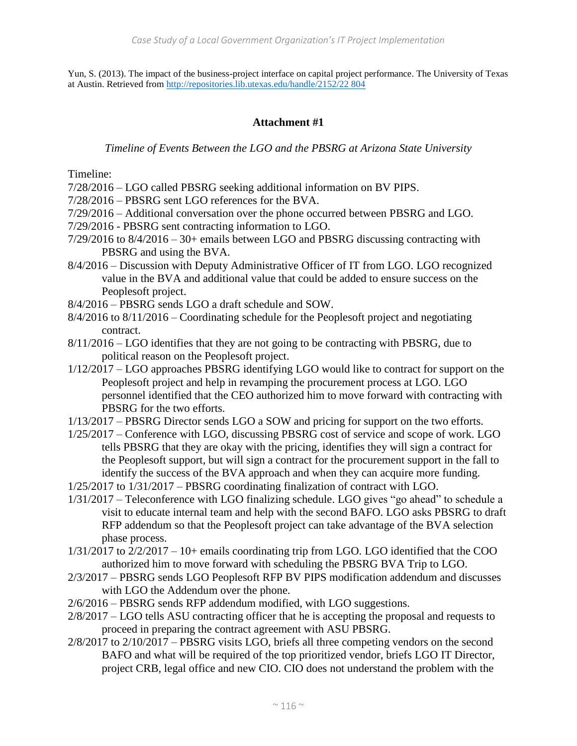Yun, S. (2013). The impact of the business-project interface on capital project performance. The University of Texas at Austin. Retrieved fro[m http://repositories.lib.utexas.edu/handle/2152/22 804](http://repositories.lib.utexas.edu/handle/2152/22%20804)

## **Attachment #1**

#### *Timeline of Events Between the LGO and the PBSRG at Arizona State University*

Timeline:

- 7/28/2016 LGO called PBSRG seeking additional information on BV PIPS.
- 7/28/2016 PBSRG sent LGO references for the BVA.
- 7/29/2016 Additional conversation over the phone occurred between PBSRG and LGO.
- 7/29/2016 PBSRG sent contracting information to LGO.
- 7/29/2016 to 8/4/2016 30+ emails between LGO and PBSRG discussing contracting with PBSRG and using the BVA.
- 8/4/2016 Discussion with Deputy Administrative Officer of IT from LGO. LGO recognized value in the BVA and additional value that could be added to ensure success on the Peoplesoft project.
- 8/4/2016 PBSRG sends LGO a draft schedule and SOW.
- 8/4/2016 to 8/11/2016 Coordinating schedule for the Peoplesoft project and negotiating contract.
- 8/11/2016 LGO identifies that they are not going to be contracting with PBSRG, due to political reason on the Peoplesoft project.
- 1/12/2017 LGO approaches PBSRG identifying LGO would like to contract for support on the Peoplesoft project and help in revamping the procurement process at LGO. LGO personnel identified that the CEO authorized him to move forward with contracting with PBSRG for the two efforts.
- 1/13/2017 PBSRG Director sends LGO a SOW and pricing for support on the two efforts.
- 1/25/2017 Conference with LGO, discussing PBSRG cost of service and scope of work. LGO tells PBSRG that they are okay with the pricing, identifies they will sign a contract for the Peoplesoft support, but will sign a contract for the procurement support in the fall to identify the success of the BVA approach and when they can acquire more funding.
- 1/25/2017 to 1/31/2017 PBSRG coordinating finalization of contract with LGO.
- 1/31/2017 Teleconference with LGO finalizing schedule. LGO gives "go ahead" to schedule a visit to educate internal team and help with the second BAFO. LGO asks PBSRG to draft RFP addendum so that the Peoplesoft project can take advantage of the BVA selection phase process.
- 1/31/2017 to 2/2/2017 10+ emails coordinating trip from LGO. LGO identified that the COO authorized him to move forward with scheduling the PBSRG BVA Trip to LGO.
- 2/3/2017 PBSRG sends LGO Peoplesoft RFP BV PIPS modification addendum and discusses with LGO the Addendum over the phone.
- 2/6/2016 PBSRG sends RFP addendum modified, with LGO suggestions.
- 2/8/2017 LGO tells ASU contracting officer that he is accepting the proposal and requests to proceed in preparing the contract agreement with ASU PBSRG.
- 2/8/2017 to 2/10/2017 PBSRG visits LGO, briefs all three competing vendors on the second BAFO and what will be required of the top prioritized vendor, briefs LGO IT Director, project CRB, legal office and new CIO. CIO does not understand the problem with the